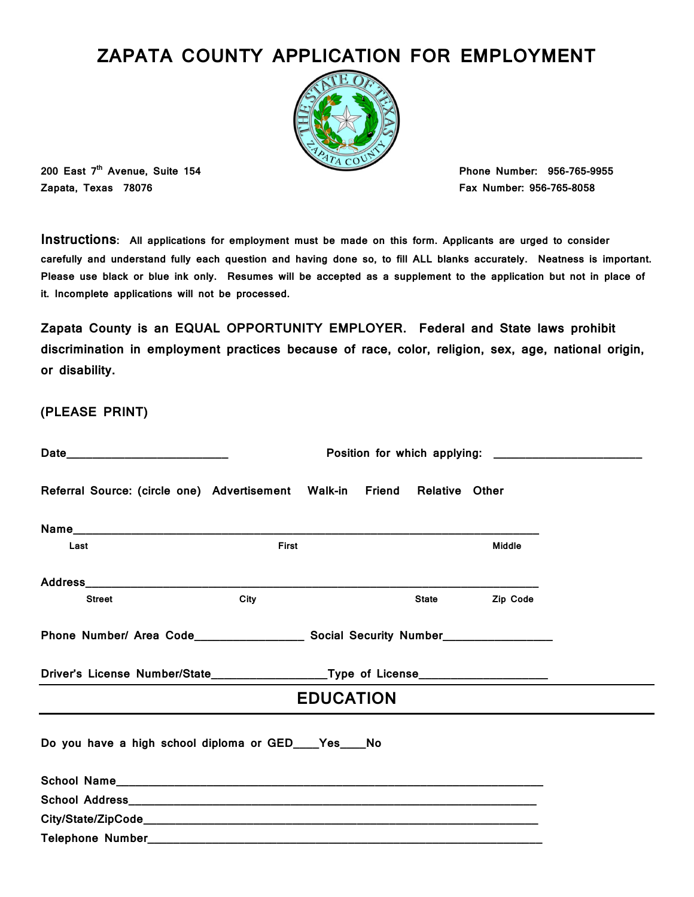# ZAPATA COUNTY APPLICATION FOR EMPLOYMENT



200 East 7<sup>th</sup> Avenue, Suite 154 **Phone Number: 956-765-9955** Zapata, Texas 78076 Fax Number: 956-765-8058

Instructions: All applications for employment must be made on this form. Applicants are urged to consider carefully and understand fully each question and having done so, to fill ALL blanks accurately. Neatness is important. Please use black or blue ink only. Resumes will be accepted as a supplement to the application but not in place of it. Incomplete applications will not be processed.

Zapata County is an EQUAL OPPORTUNITY EMPLOYER. Federal and State laws prohibit discrimination in employment practices because of race, color, religion, sex, age, national origin, or disability.

(PLEASE PRINT)

|               | Referral Source: (circle one) Advertisement Walk-in Friend Relative Other        |                  |                    |          |  |
|---------------|----------------------------------------------------------------------------------|------------------|--------------------|----------|--|
|               |                                                                                  |                  |                    |          |  |
| Last          | <b>First</b>                                                                     |                  |                    | Middle   |  |
|               |                                                                                  |                  |                    |          |  |
| <b>Street</b> | City                                                                             |                  | <b>State State</b> | Zip Code |  |
|               |                                                                                  |                  |                    |          |  |
|               | Driver's License Number/State____________________Type of License________________ |                  |                    |          |  |
|               |                                                                                  | <b>EDUCATION</b> |                    |          |  |
|               | Do you have a high school diploma or GED____Yes____No                            |                  |                    |          |  |
|               |                                                                                  |                  |                    |          |  |
|               |                                                                                  |                  |                    |          |  |
|               |                                                                                  |                  |                    |          |  |
|               |                                                                                  |                  |                    |          |  |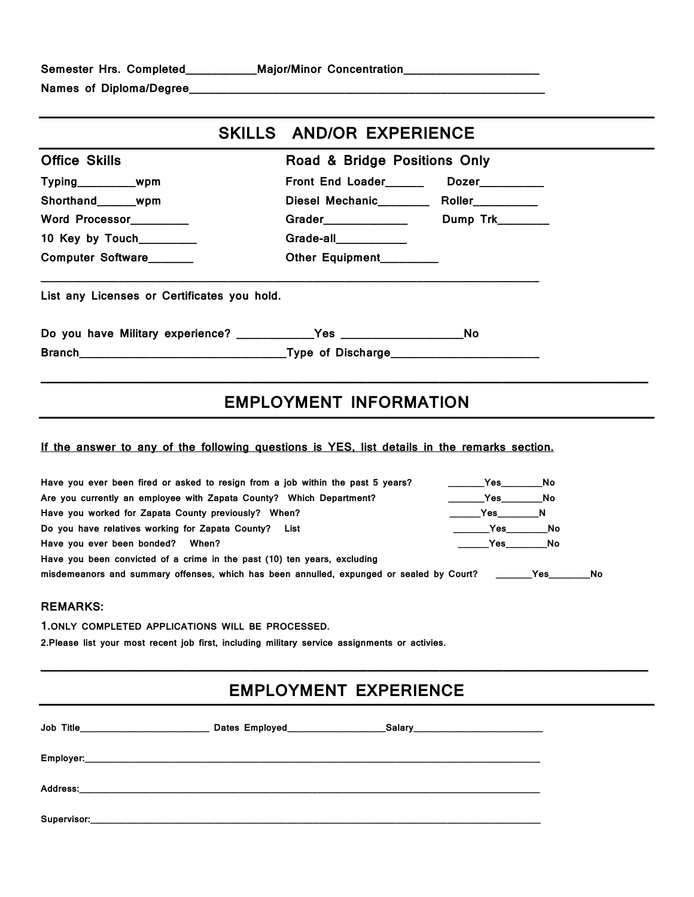| Semester Hrs. Completed |  |  |  |
|-------------------------|--|--|--|
|-------------------------|--|--|--|

Semester Hrs. Completed\_\_\_\_\_\_\_\_\_\_\_Major/Minor Concentration\_\_\_\_\_\_\_\_\_\_\_\_\_\_\_\_\_\_\_\_\_

Names of Diploma/Degree\_\_\_\_\_\_\_\_\_\_\_\_\_\_\_\_\_\_\_\_\_\_\_\_\_\_\_\_\_\_\_\_\_\_\_\_\_\_\_\_\_\_\_\_\_\_\_\_\_\_\_\_\_\_\_

|                                             | SKILLS AND/OR EXPERIENCE      |                                             |
|---------------------------------------------|-------------------------------|---------------------------------------------|
| <b>Office Skills</b>                        | Road & Bridge Positions Only  |                                             |
| Typing___________wpm                        |                               | Front End Loader_________ Dozer__________   |
| Shorthand wpm                               |                               | Diesel Mechanic___________ Roller__________ |
| Word Processor_________                     |                               |                                             |
| 10 Key by Touch________                     | Grade-all___________          |                                             |
| Computer Software                           | Other Equipment________       |                                             |
| List any Licenses or Certificates you hold. |                               |                                             |
|                                             |                               |                                             |
|                                             |                               |                                             |
|                                             | <b>EMPLOYMENT INFORMATION</b> |                                             |

#### If the answer to any of the following questions is YES, list details in the remarks section.

| Have you ever been fired or asked to resign from a job within the past 5 years?                       | <b>Particle Struck Property</b> No                                                                                   |    |     |
|-------------------------------------------------------------------------------------------------------|----------------------------------------------------------------------------------------------------------------------|----|-----|
| Are you currently an employee with Zapata County? Which Department?                                   | <b>Particle Struck Property</b> No                                                                                   |    |     |
| Have you worked for Zapata County previously? When?                                                   | <b>Property Property Property</b>                                                                                    |    |     |
| Do you have relatives working for Zapata County? List                                                 | <b>Particle Structure Structure Structure Structure Structure Structure Structure Structure Structure Structure </b> |    |     |
| Have you ever been bonded? When?                                                                      | <b>Property Yes</b>                                                                                                  | No |     |
| Have you been convicted of a crime in the past (10) ten years, excluding                              |                                                                                                                      |    |     |
| misdemeanors and summary offenses, which has been annulled, expunged or sealed by Court? ________ Yes |                                                                                                                      |    | No. |

### REMARKS:

1.ONLY COMPLETED APPLICATIONS WILL BE PROCESSED.

2.Please list your most recent job first, including military service assignments or activies.

# EMPLOYMENT EXPERIENCE

 $\overline{a}$  , and the contribution of the contribution of the contribution of the contribution of the contribution of the contribution of the contribution of the contribution of the contribution of the contribution of the co

| <b>Job Title</b> | Dates Employed <b>Example 2014</b> |  |
|------------------|------------------------------------|--|
|                  |                                    |  |
|                  |                                    |  |
|                  |                                    |  |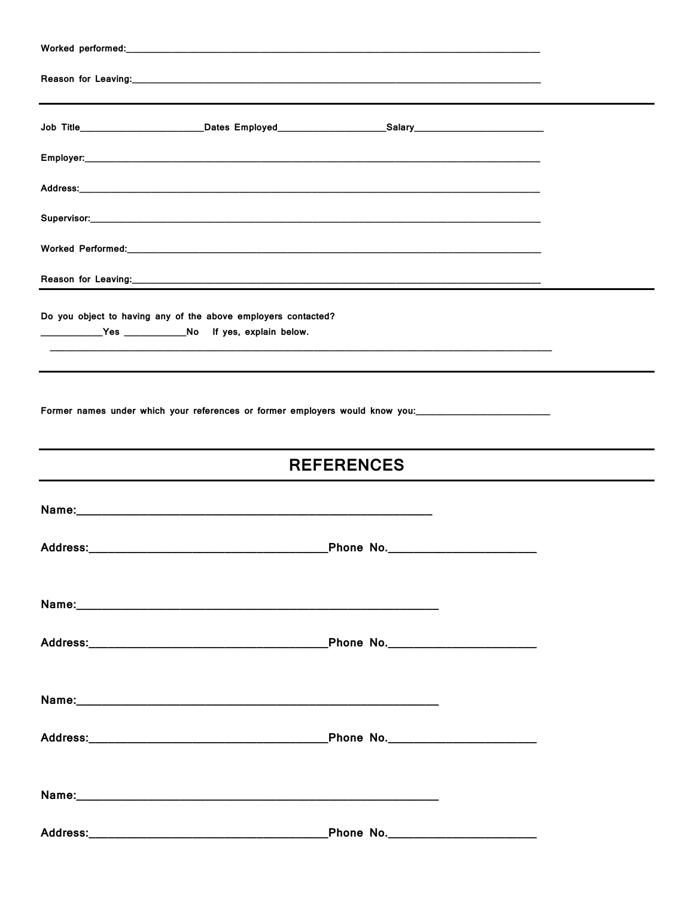| Worked performed: with a state of the state of the state of the state of the state of the state of the state of the state of the state of the state of the state of the state of the state of the state of the state of the st |                   |  |
|--------------------------------------------------------------------------------------------------------------------------------------------------------------------------------------------------------------------------------|-------------------|--|
|                                                                                                                                                                                                                                |                   |  |
| Job Title_________________________Dates Employed_____________________Salary_________________________                                                                                                                           |                   |  |
|                                                                                                                                                                                                                                |                   |  |
|                                                                                                                                                                                                                                |                   |  |
|                                                                                                                                                                                                                                |                   |  |
|                                                                                                                                                                                                                                |                   |  |
|                                                                                                                                                                                                                                |                   |  |
| Do you object to having any of the above employers contacted?                                                                                                                                                                  |                   |  |
|                                                                                                                                                                                                                                |                   |  |
|                                                                                                                                                                                                                                |                   |  |
|                                                                                                                                                                                                                                | <b>REFERENCES</b> |  |
|                                                                                                                                                                                                                                |                   |  |
|                                                                                                                                                                                                                                |                   |  |
|                                                                                                                                                                                                                                |                   |  |
|                                                                                                                                                                                                                                |                   |  |
|                                                                                                                                                                                                                                |                   |  |
|                                                                                                                                                                                                                                |                   |  |
|                                                                                                                                                                                                                                |                   |  |